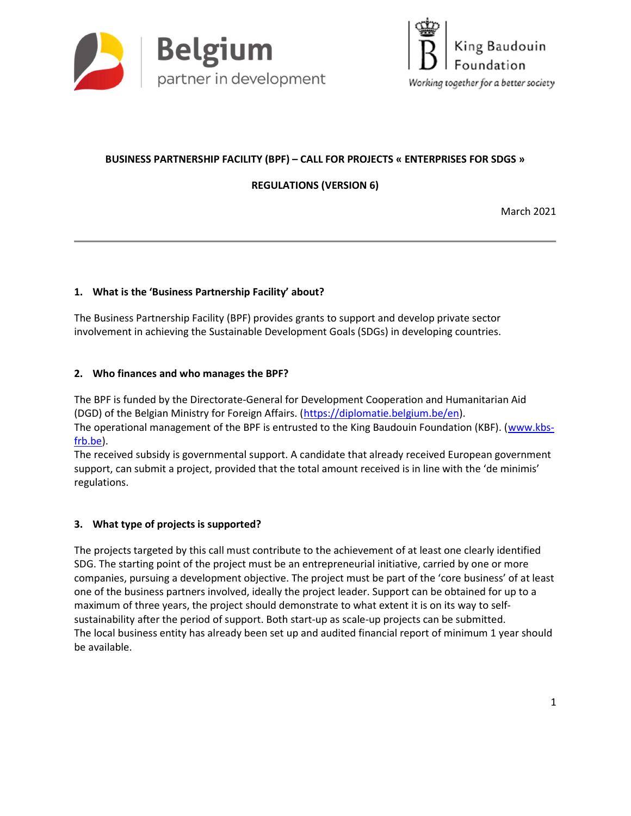



# BUSINESS PARTNERSHIP FACILITY (BPF) – CALL FOR PROJECTS « ENTERPRISES FOR SDGS »

REGULATIONS (VERSION 6)

March 2021

## 1. What is the 'Business Partnership Facility' about?

The Business Partnership Facility (BPF) provides grants to support and develop private sector involvement in achieving the Sustainable Development Goals (SDGs) in developing countries.

### 2. Who finances and who manages the BPF?

The BPF is funded by the Directorate-General for Development Cooperation and Humanitarian Aid (DGD) of the Belgian Ministry for Foreign Affairs. (https://diplomatie.belgium.be/en).

The operational management of the BPF is entrusted to the King Baudouin Foundation (KBF). (www.kbsfrb.be).

The received subsidy is governmental support. A candidate that already received European government support, can submit a project, provided that the total amount received is in line with the 'de minimis' regulations.

## 3. What type of projects is supported?

The projects targeted by this call must contribute to the achievement of at least one clearly identified SDG. The starting point of the project must be an entrepreneurial initiative, carried by one or more companies, pursuing a development objective. The project must be part of the 'core business' of at least one of the business partners involved, ideally the project leader. Support can be obtained for up to a maximum of three years, the project should demonstrate to what extent it is on its way to selfsustainability after the period of support. Both start-up as scale-up projects can be submitted. The local business entity has already been set up and audited financial report of minimum 1 year should be available.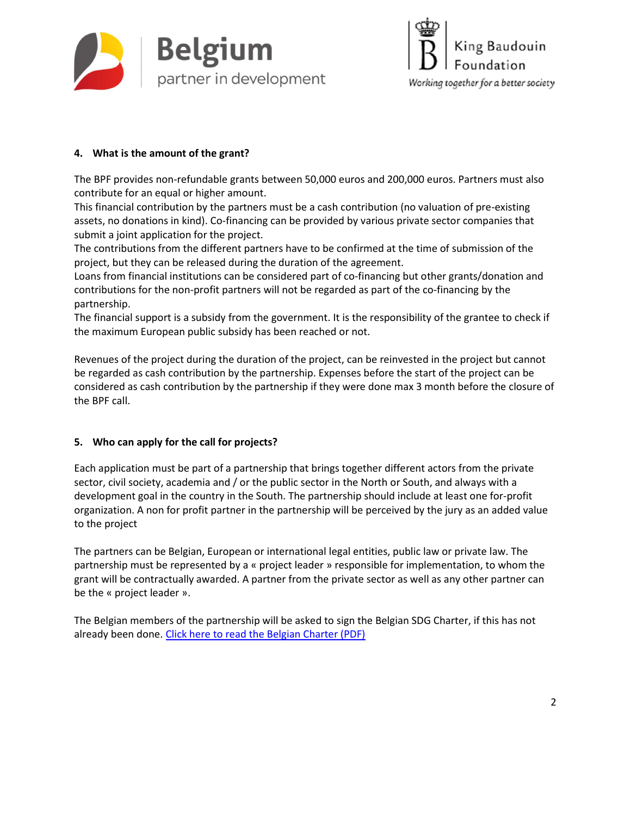



## 4. What is the amount of the grant?

The BPF provides non-refundable grants between 50,000 euros and 200,000 euros. Partners must also contribute for an equal or higher amount.

This financial contribution by the partners must be a cash contribution (no valuation of pre-existing assets, no donations in kind). Co-financing can be provided by various private sector companies that submit a joint application for the project.

The contributions from the different partners have to be confirmed at the time of submission of the project, but they can be released during the duration of the agreement.

Loans from financial institutions can be considered part of co-financing but other grants/donation and contributions for the non-profit partners will not be regarded as part of the co-financing by the partnership.

The financial support is a subsidy from the government. It is the responsibility of the grantee to check if the maximum European public subsidy has been reached or not.

Revenues of the project during the duration of the project, can be reinvested in the project but cannot be regarded as cash contribution by the partnership. Expenses before the start of the project can be considered as cash contribution by the partnership if they were done max 3 month before the closure of the BPF call.

## 5. Who can apply for the call for projects?

Each application must be part of a partnership that brings together different actors from the private sector, civil society, academia and / or the public sector in the North or South, and always with a development goal in the country in the South. The partnership should include at least one for-profit organization. A non for profit partner in the partnership will be perceived by the jury as an added value to the project

The partners can be Belgian, European or international legal entities, public law or private law. The partnership must be represented by a « project leader » responsible for implementation, to whom the grant will be contractually awarded. A partner from the private sector as well as any other partner can be the « project leader ».

The Belgian members of the partnership will be asked to sign the Belgian SDG Charter, if this has not already been done. Click here to read the Belgian Charter (PDF)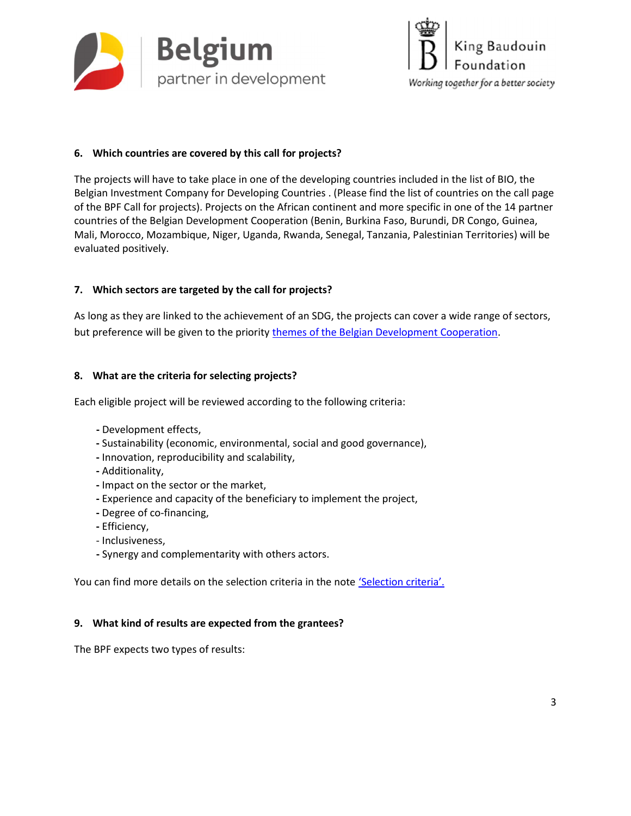



### 6. Which countries are covered by this call for projects?

The projects will have to take place in one of the developing countries included in the list of BIO, the Belgian Investment Company for Developing Countries . (Please find the list of countries on the call page of the BPF Call for projects). Projects on the African continent and more specific in one of the 14 partner countries of the Belgian Development Cooperation (Benin, Burkina Faso, Burundi, DR Congo, Guinea, Mali, Morocco, Mozambique, Niger, Uganda, Rwanda, Senegal, Tanzania, Palestinian Territories) will be evaluated positively.

### 7. Which sectors are targeted by the call for projects?

As long as they are linked to the achievement of an SDG, the projects can cover a wide range of sectors, but preference will be given to the priority themes of the Belgian Development Cooperation.

### 8. What are the criteria for selecting projects?

Each eligible project will be reviewed according to the following criteria:

- Development effects,
- Sustainability (economic, environmental, social and good governance),
- Innovation, reproducibility and scalability,
- Additionality,
- Impact on the sector or the market,
- Experience and capacity of the beneficiary to implement the project,
- Degree of co-financing,
- Efficiency,
- Inclusiveness,
- Synergy and complementarity with others actors.

You can find more details on the selection criteria in the note *'Selection criteria'*.

### 9. What kind of results are expected from the grantees?

The BPF expects two types of results: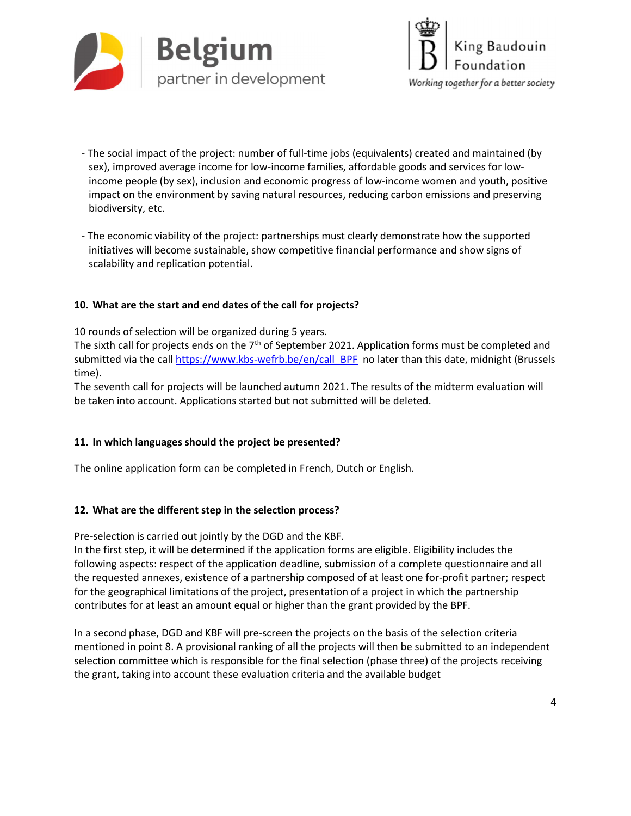



- The social impact of the project: number of full-time jobs (equivalents) created and maintained (by sex), improved average income for low-income families, affordable goods and services for lowincome people (by sex), inclusion and economic progress of low-income women and youth, positive impact on the environment by saving natural resources, reducing carbon emissions and preserving biodiversity, etc.
- The economic viability of the project: partnerships must clearly demonstrate how the supported initiatives will become sustainable, show competitive financial performance and show signs of scalability and replication potential.

### 10. What are the start and end dates of the call for projects?

10 rounds of selection will be organized during 5 years.

The sixth call for projects ends on the 7<sup>th</sup> of September 2021. Application forms must be completed and submitted via the call https://www.kbs-wefrb.be/en/call\_BPF no later than this date, midnight (Brussels time).

The seventh call for projects will be launched autumn 2021. The results of the midterm evaluation will be taken into account. Applications started but not submitted will be deleted.

### 11. In which languages should the project be presented?

The online application form can be completed in French, Dutch or English.

### 12. What are the different step in the selection process?

Pre-selection is carried out jointly by the DGD and the KBF.

In the first step, it will be determined if the application forms are eligible. Eligibility includes the following aspects: respect of the application deadline, submission of a complete questionnaire and all the requested annexes, existence of a partnership composed of at least one for-profit partner; respect for the geographical limitations of the project, presentation of a project in which the partnership contributes for at least an amount equal or higher than the grant provided by the BPF.

In a second phase, DGD and KBF will pre-screen the projects on the basis of the selection criteria mentioned in point 8. A provisional ranking of all the projects will then be submitted to an independent selection committee which is responsible for the final selection (phase three) of the projects receiving the grant, taking into account these evaluation criteria and the available budget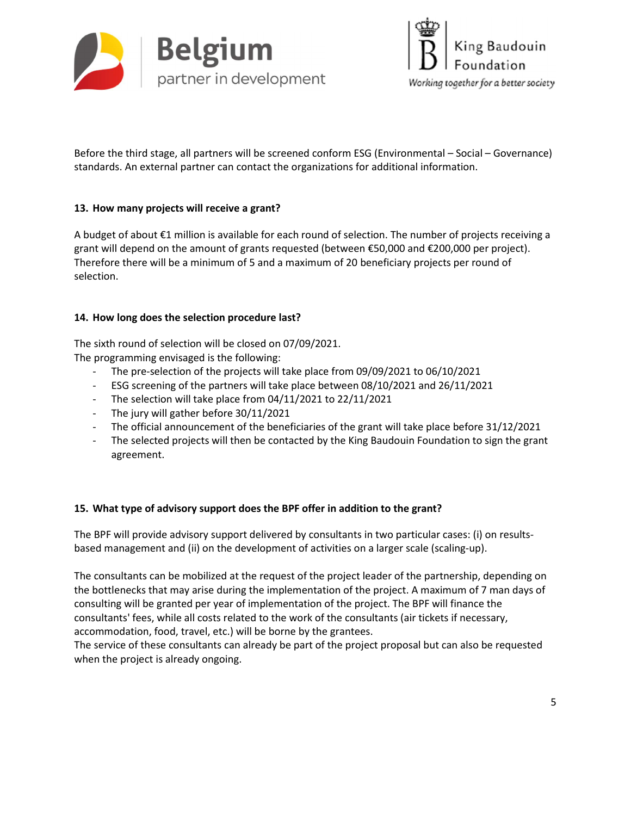



Before the third stage, all partners will be screened conform ESG (Environmental – Social – Governance) standards. An external partner can contact the organizations for additional information.

### 13. How many projects will receive a grant?

A budget of about €1 million is available for each round of selection. The number of projects receiving a grant will depend on the amount of grants requested (between €50,000 and €200,000 per project). Therefore there will be a minimum of 5 and a maximum of 20 beneficiary projects per round of selection.

### 14. How long does the selection procedure last?

The sixth round of selection will be closed on 07/09/2021.

The programming envisaged is the following:

- The pre-selection of the projects will take place from 09/09/2021 to 06/10/2021
- ESG screening of the partners will take place between 08/10/2021 and 26/11/2021
- The selection will take place from 04/11/2021 to 22/11/2021
- The jury will gather before 30/11/2021
- The official announcement of the beneficiaries of the grant will take place before 31/12/2021
- The selected projects will then be contacted by the King Baudouin Foundation to sign the grant agreement.

### 15. What type of advisory support does the BPF offer in addition to the grant?

The BPF will provide advisory support delivered by consultants in two particular cases: (i) on resultsbased management and (ii) on the development of activities on a larger scale (scaling-up).

The consultants can be mobilized at the request of the project leader of the partnership, depending on the bottlenecks that may arise during the implementation of the project. A maximum of 7 man days of consulting will be granted per year of implementation of the project. The BPF will finance the consultants' fees, while all costs related to the work of the consultants (air tickets if necessary, accommodation, food, travel, etc.) will be borne by the grantees.

The service of these consultants can already be part of the project proposal but can also be requested when the project is already ongoing.